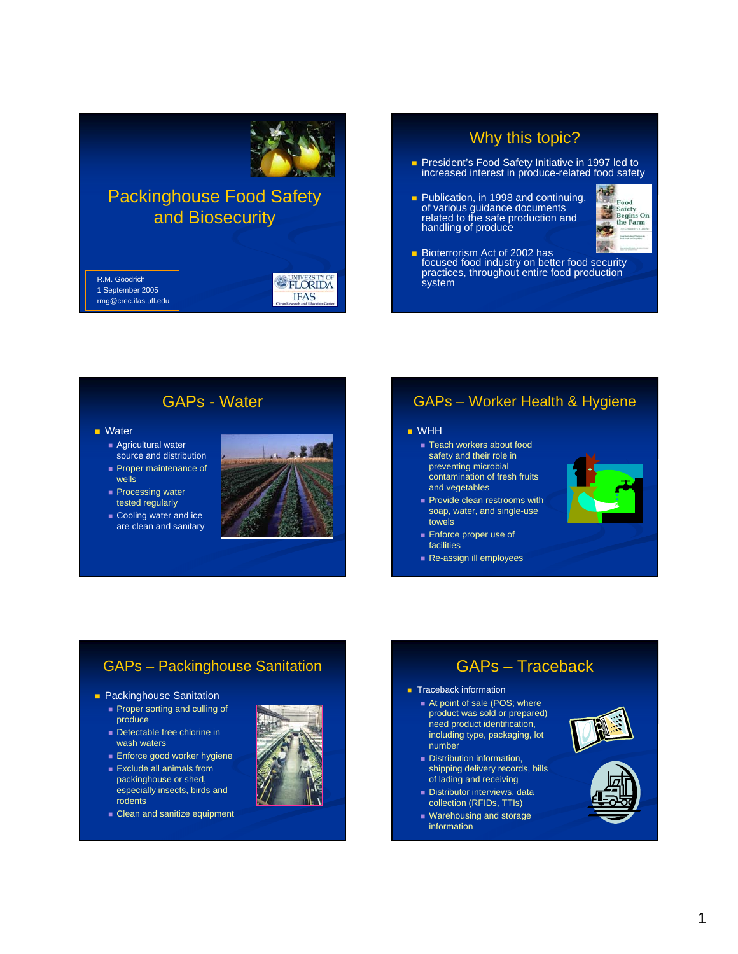

# Packinghouse Food Safety and Biosecurity

R.M. Goodrich 1 September 2005 rmg@crec.ifas.ufl.edu

## Why this topic?

- **President's Food Safety Initiative in 1997 led to** increased interest in produce-related food safety
- **Publication, in 1998 and continuing,** of various guidance documents related to the safe production and handling of produce



**Bioterrorism Act of 2002 has** focused food industry on better food security practices, throughout entire food production **system** 

### GAPs - Water

#### **Nater**

- Agricultural water source and distribution **Proper maintenance of**
- wells **Processing water**
- tested regularly
- Cooling water and ice are clean and sanitary



**FLORIDA IFAS** 

#### GAPs – Worker Health & Hygiene

#### WHH

- Teach workers about food safety and their role in preventing microbial
- contamination of fresh fruits and vegetables
- **Provide clean restrooms with** soap, water, and single-use towels
- **Enforce proper use of** facilities
- Re-assign ill employees



### GAPs – Packinghouse Sanitation

- **Packinghouse Sanitation** 
	- **Proper sorting and culling of** produce
	- Detectable free chlorine in wash waters
	- **Enforce good worker hygiene**

**Clean and sanitize equipment** 

**Exclude all animals from** packinghouse or shed, especially insects, birds and

rodents



### GAPs – Traceback **Traceback information**

- At point of sale (POS; where product was sold or prepared) need product identification, including type, packaging, lot number
- Distribution information, shipping delivery records, bills of lading and receiving
- **Distributor interviews, data** collection (RFIDs, TTIs)
- **Warehousing and storage** information



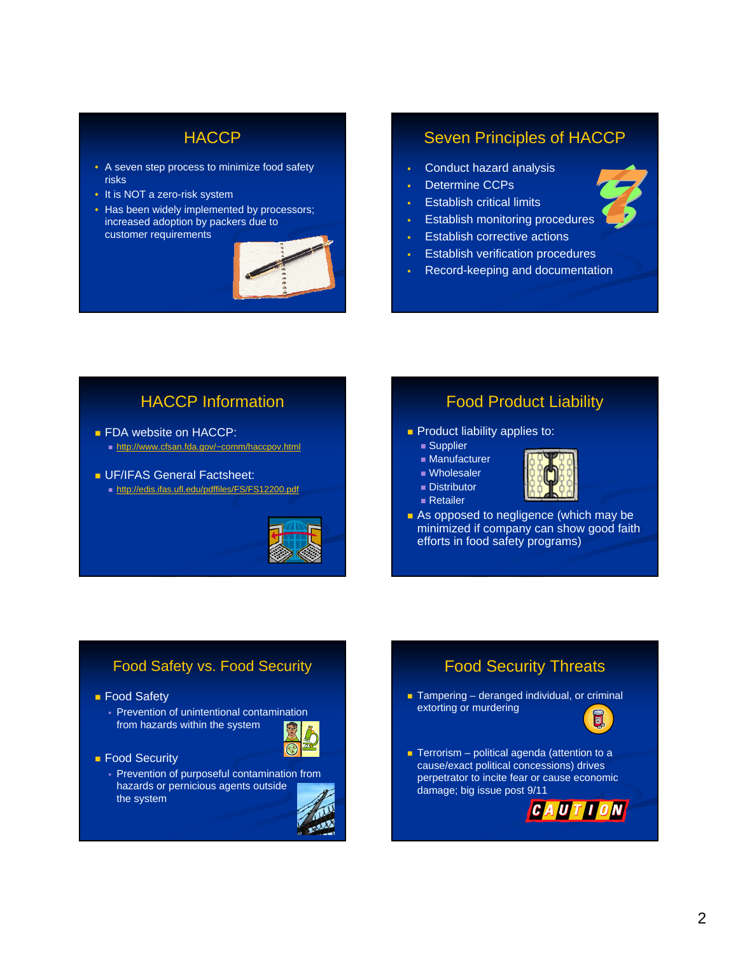## **HACCP**

- A seven step process to minimize food safety risks
- It is NOT a zero-risk system
- Has been widely implemented by processors; increased adoption by packers due to customer requirements



### Seven Principles of HACCP

- Conduct hazard analysis
- Determine CCPs
- Establish critical limits
- Establish monitoring procedures
- Establish corrective actions
- Establish verification procedures
- Record-keeping and documentation

## HACCP Information

- **FDA** website on HACCP: http://www.cfsan.fda.gov/~comm/haccpov.html
- **UF/IFAS General Factsheet:** 
	- http://edis.ifas.ufl.edu/pdffiles/FS/FS12200.pdf



#### Food Product Liability

- **Product liability applies to:** 
	- **Supplier**
	- **Manufacturer**
	- Wholesaler
	- **Distributor**
	- Retailer



As opposed to negligence (which may be minimized if company can show good faith efforts in food safety programs)

#### Food Safety vs. Food Security

- **Food Safety** 
	- Prevention of unintentional contamination from hazards within the system



- Food Security
	- Prevention of purposeful contamination from hazards or pernicious agents outside the system



## Food Security Threats

 $\blacksquare$  Tampering – deranged individual, or criminal extorting or murdering



 $\blacksquare$  Terrorism – political agenda (attention to a cause/exact political concessions) drives perpetrator to incite fear or cause economic damage; big issue post 9/11

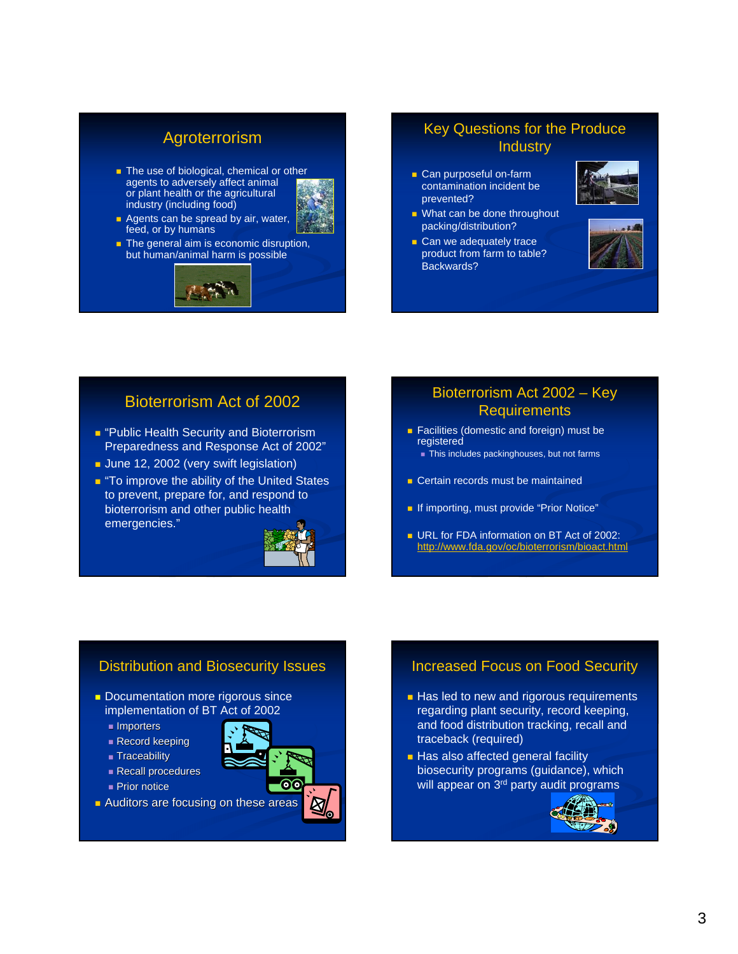## Agroterrorism

The use of biological, chemical or other agents to adversely affect animal or plant health or the agricultural industry (including food)



**Agents can be spread by air, water,** feed, or by humans The general aim is economic disruption,



#### Key Questions for the Produce Industry

**Can purposeful on-farm** contamination incident be prevented?

Can we adequately trace

Backwards?

- **Nhat can be done throughout** packing/distribution?
	- product from farm to table?

#### Bioterrorism Act of 2002

- **P** "Public Health Security and Bioterrorism Preparedness and Response Act of 2002"
- **June 12, 2002 (very swift legislation)**
- **T** "To improve the ability of the United States" to prevent, prepare for, and respond to bioterrorism and other public health emergencies."



#### Bioterrorism Act 2002 – Key **Requirements**

- **Facilities (domestic and foreign) must be** registered This includes packinghouses, but not farms
- **Certain records must be maintained**
- **If importing, must provide "Prior Notice"**
- **URL for FDA information on BT Act of 2002:** http://www.fda.gov/oc/bioterrorism/bioact.html

#### Distribution and Biosecurity Issues

- **Documentation more rigorous since** implementation of BT Act of 2002
	- Importers
	- Record keeping
	- **Traceability**
	- Recall procedures
	- **Prior notice**
- **Auditors are focusing on these areas**



### Increased Focus on Food Security

- **Has led to new and rigorous requirements** regarding plant security, record keeping, and food distribution tracking, recall and traceback (required)
- **Has also affected general facility** biosecurity programs (guidance), which will appear on 3<sup>rd</sup> party audit programs